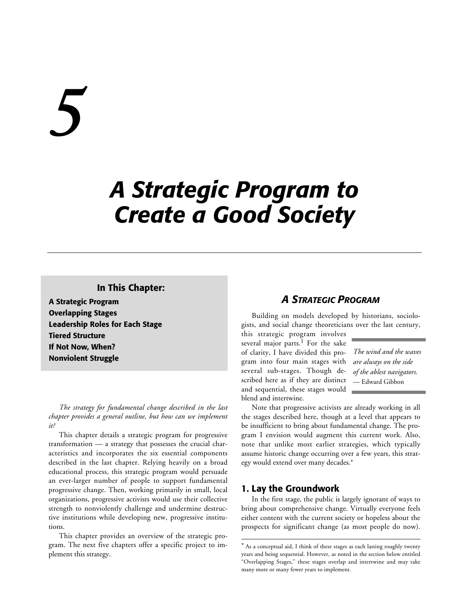# *5*

# *A Strategic Program to Create a Good Society*

### **In This Chapter:**

**A Strategic Program Overlapping Stages Leadership Roles for Each Stage Tiered Structure If Not Now, When? Nonviolent Struggle**

*The strategy for fundamental change described in the last chapter provides a general outline, but how can we implement it?*

This chapter details a strategic program for progressive transformation — a strategy that possesses the crucial characteristics and incorporates the six essential components described in the last chapter. Relying heavily on a broad educational process, this strategic program would persuade an ever-larger number of people to support fundamental progressive change. Then, working primarily in small, local organizations, progressive activists would use their collective strength to nonviolently challenge and undermine destructive institutions while developing new, progressive institutions.

This chapter provides an overview of the strategic program. The next five chapters offer a specific project to implement this strategy.

### *A STRATEGIC PROGRAM*

Building on models developed by historians, sociologists, and social change theoreticians over the last century,

this strategic program involves several major parts.<sup>1</sup> For the sake of clarity, I have divided this program into four main stages with several sub-stages. Though described here as if they are distinct and sequential, these stages would blend and intertwine.

*The wind and the waves are always on the side of the ablest navigators.* — Edward Gibbon

Note that progressive activists are already working in all the stages described here, though at a level that appears to be insufficient to bring about fundamental change. The program I envision would augment this current work. Also, note that unlike most earlier strategies, which typically assume historic change occurring over a few years, this strategy would extend over many decades.\*

### **1. Lay the Groundwork**

1

In the first stage, the public is largely ignorant of ways to bring about comprehensive change. Virtually everyone feels either content with the current society or hopeless about the prospects for significant change (as most people do now).

<sup>\*</sup> As a conceptual aid, I think of these stages as each lasting roughly twenty years and being sequential. However, as noted in the section below entitled "Overlapping Stages," these stages overlap and intertwine and may take many more or many fewer years to implement.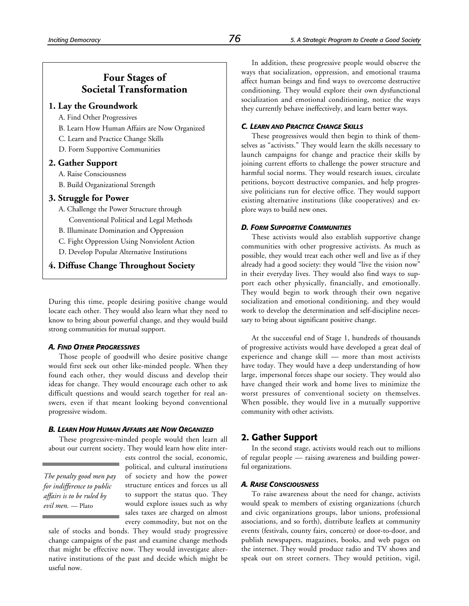### **Four Stages of Societal Transformation**

### **1. Lay the Groundwork**

- A. Find Other Progressives
- B. Learn How Human Affairs are Now Organized
- C. Learn and Practice Change Skills
- D. Form Supportive Communities

### **2. Gather Support**

- A. Raise Consciousness
- B. Build Organizational Strength

### **3. Struggle for Power**

- A. Challenge the Power Structure through Conventional Political and Legal Methods
- B. Illuminate Domination and Oppression
- C. Fight Oppression Using Nonviolent Action
- D. Develop Popular Alternative Institutions

**4. Diffuse Change Throughout Society**

During this time, people desiring positive change would locate each other. They would also learn what they need to know to bring about powerful change, and they would build strong communities for mutual support.

### *A. FIND OTHER PROGRESSIVES*

Those people of goodwill who desire positive change would first seek out other like-minded people. When they found each other, they would discuss and develop their ideas for change. They would encourage each other to ask difficult questions and would search together for real answers, even if that meant looking beyond conventional progressive wisdom.

### *B. LEARN HOW HUMAN AFFAIRS ARE NOW ORGANIZED*

These progressive-minded people would then learn all about our current society. They would learn how elite inter-

*The penalty good men pay for indifference to public affairs is to be ruled by evil men.* — Plato

ests control the social, economic, political, and cultural institutions of society and how the power structure entices and forces us all to support the status quo. They would explore issues such as why sales taxes are charged on almost every commodity, but not on the

sale of stocks and bonds. They would study progressive change campaigns of the past and examine change methods that might be effective now. They would investigate alternative institutions of the past and decide which might be useful now.

In addition, these progressive people would observe the ways that socialization, oppression, and emotional trauma affect human beings and find ways to overcome destructive conditioning. They would explore their own dysfunctional socialization and emotional conditioning, notice the ways they currently behave ineffectively, and learn better ways.

### *C. LEARN AND PRACTICE CHANGE SKILLS*

These progressives would then begin to think of themselves as "activists." They would learn the skills necessary to launch campaigns for change and practice their skills by joining current efforts to challenge the power structure and harmful social norms. They would research issues, circulate petitions, boycott destructive companies, and help progressive politicians run for elective office. They would support existing alternative institutions (like cooperatives) and explore ways to build new ones.

### *D. FORM SUPPORTIVE COMMUNITIES*

These activists would also establish supportive change communities with other progressive activists. As much as possible, they would treat each other well and live as if they already had a good society: they would "live the vision now" in their everyday lives. They would also find ways to support each other physically, financially, and emotionally. They would begin to work through their own negative socialization and emotional conditioning, and they would work to develop the determination and self-discipline necessary to bring about significant positive change.

At the successful end of Stage 1, hundreds of thousands of progressive activists would have developed a great deal of experience and change skill — more than most activists have today. They would have a deep understanding of how large, impersonal forces shape our society. They would also have changed their work and home lives to minimize the worst pressures of conventional society on themselves. When possible, they would live in a mutually supportive community with other activists.

### **2. Gather Support**

In the second stage, activists would reach out to millions of regular people — raising awareness and building powerful organizations.

### *A. RAISE CONSCIOUSNESS*

To raise awareness about the need for change, activists would speak to members of existing organizations (church and civic organizations groups, labor unions, professional associations, and so forth), distribute leaflets at community events (festivals, county fairs, concerts) or door-to-door, and publish newspapers, magazines, books, and web pages on the internet. They would produce radio and TV shows and speak out on street corners. They would petition, vigil,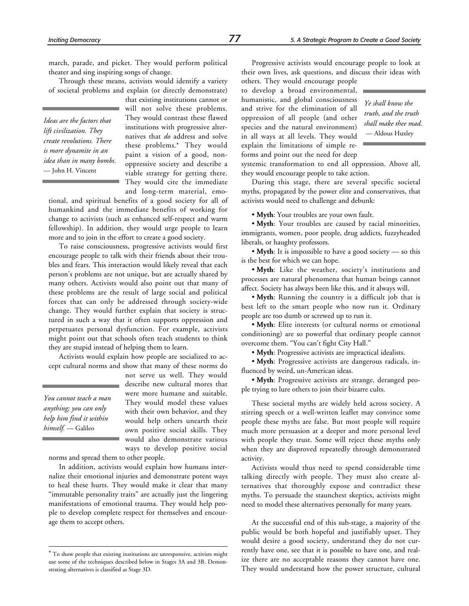march, parade, and picket. They would perform political theater and sing inspiring songs of change.

Through these means, activists would identify a variety of societal problems and explain (or directly demonstrate)

*Ideas are the factors that lift civilization. They create revolutions. There is more dynamite in an idea than in many bombs.* — John H. Vincent

that existing institutions cannot or will not solve these problems. They would contrast these flawed institutions with progressive alternatives that *do* address and solve these problems.\* They would paint a vision of a good, nonoppressive society and describe a viable strategy for getting there. They would cite the immediate and long-term material, emo-

tional, and spiritual benefits of a good society for all of humankind and the immediate benefits of working for change to activists (such as enhanced self-respect and warm fellowship). In addition, they would urge people to learn more and to join in the effort to create a good society.

To raise consciousness, progressive activists would first encourage people to talk with their friends about their troubles and fears. This interaction would likely reveal that each person's problems are not unique, but are actually shared by many others. Activists would also point out that many of these problems are the result of large social and political forces that can only be addressed through society-wide change. They would further explain that society is structured in such a way that it often supports oppression and perpetuates personal dysfunction. For example, activists might point out that schools often teach students to think they are stupid instead of helping them to learn.

Activists would explain how people are socialized to accept cultural norms and show that many of these norms do

*You cannot teach a man anything; you can only help him find it within himself.* — Galileo

-

not serve us well. They would describe new cultural mores that were more humane and suitable. They would model these values with their own behavior, and they would help others unearth their own positive social skills. They would also demonstrate various ways to develop positive social

norms and spread them to other people.

In addition, activists would explain how humans internalize their emotional injuries and demonstrate potent ways to heal these hurts. They would make it clear that many "immutable personality traits" are actually just the lingering manifestations of emotional trauma. They would help people to develop complete respect for themselves and encourage them to accept others.

Progressive activists would encourage people to look at their own lives, ask questions, and discuss their ideas with

others. They would encourage people to develop a broad environmental, humanistic, and global consciousness and strive for the elimination of all oppression of all people (and other species and the natural environment) in all ways at all levels. They would explain the limitations of simple reforms and point out the need for deep

*Ye shall know the truth, and the truth shall make thee mad.* — Aldous Huxley

systemic transformation to end all oppression. Above all, they would encourage people to take action.

During this stage, there are several specific societal myths, propagated by the power elite and conservatives, that activists would need to challenge and debunk:

• **Myth**: Your troubles are your own fault.

• **Myth**: Your troubles are caused by racial minorities, immigrants, women, poor people, drug addicts, fuzzyheaded liberals, or haughty professors.

• **Myth**: It is impossible to have a good society — so this is the best for which we can hope.

• **Myth**: Like the weather, society's institutions and processes are natural phenomena that human beings cannot affect. Society has always been like this, and it always will.

• **Myth**: Running the country is a difficult job that is best left to the smart people who now run it. Ordinary people are too dumb or screwed up to run it.

• **Myth**: Elite interests (or cultural norms or emotional conditioning) are so powerful that ordinary people cannot overcome them. "You can't fight City Hall."

• **Myth**: Progressive activists are impractical idealists.

• **Myth**: Progressive activists are dangerous radicals, influenced by weird, un-American ideas.

• **Myth**: Progressive activists are strange, deranged people trying to lure others to join their bizarre cults.

These societal myths are widely held across society. A stirring speech or a well-written leaflet may convince some people these myths are false. But most people will require much more persuasion at a deeper and more personal level with people they trust. Some will reject these myths only when they are disproved repeatedly through demonstrated activity.

Activists would thus need to spend considerable time talking directly with people. They must also create alternatives that thoroughly expose and contradict these myths. To persuade the staunchest skeptics, activists might need to model these alternatives personally for many years.

At the successful end of this sub-stage, a majority of the public would be both hopeful and justifiably upset. They would desire a good society, understand they do not currently have one, see that it is possible to have one, and realize there are no acceptable reasons they cannot have one. They would understand how the power structure, cultural

<sup>\*</sup> To show people that existing institutions are unresponsive, activists might use some of the techniques described below in Stages 3A and 3B. Demonstrating alternatives is classified as Stage 3D.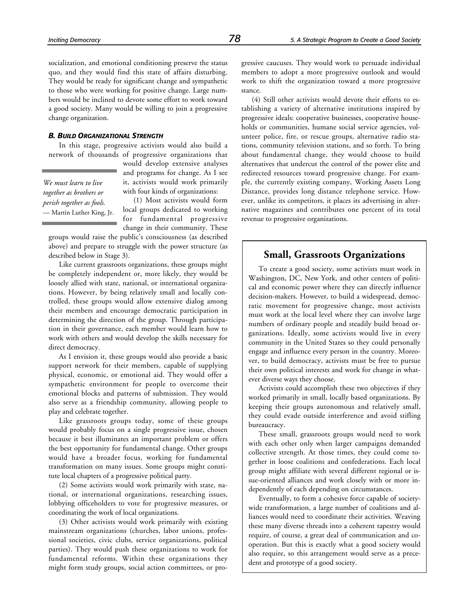socialization, and emotional conditioning preserve the status quo, and they would find this state of affairs disturbing. They would be ready for significant change and sympathetic to those who were working for positive change. Large numbers would be inclined to devote some effort to work toward a good society. Many would be willing to join a progressive change organization.

### *B. BUILD ORGANIZATIONAL STRENGTH*

In this stage, progressive activists would also build a network of thousands of progressive organizations that

*We must learn to live together as brothers or perish together as fools.* — Martin Luther King, Jr.

would develop extensive analyses and programs for change. As I see it, activists would work primarily with four kinds of organizations:

(1) Most activists would form local groups dedicated to working for fundamental progressive change in their community. These

groups would raise the public's consciousness (as described above) and prepare to struggle with the power structure (as described below in Stage 3).

Like current grassroots organizations, these groups might be completely independent or, more likely, they would be loosely allied with state, national, or international organizations. However, by being relatively small and locally controlled, these groups would allow extensive dialog among their members and encourage democratic participation in determining the direction of the group. Through participation in their governance, each member would learn how to work with others and would develop the skills necessary for direct democracy.

As I envision it, these groups would also provide a basic support network for their members, capable of supplying physical, economic, or emotional aid. They would offer a sympathetic environment for people to overcome their emotional blocks and patterns of submission. They would also serve as a friendship community, allowing people to play and celebrate together.

Like grassroots groups today, some of these groups would probably focus on a single progressive issue, chosen because it best illuminates an important problem or offers the best opportunity for fundamental change. Other groups would have a broader focus, working for fundamental transformation on many issues. Some groups might constitute local chapters of a progressive political party.

(2) Some activists would work primarily with state, national, or international organizations, researching issues, lobbying officeholders to vote for progressive measures, or coordinating the work of local organizations.

(3) Other activists would work primarily with existing mainstream organizations (churches, labor unions, professional societies, civic clubs, service organizations, political parties). They would push these organizations to work for fundamental reforms. Within these organizations they might form study groups, social action committees, or progressive caucuses. They would work to persuade individual members to adopt a more progressive outlook and would work to shift the organization toward a more progressive stance.

(4) Still other activists would devote their efforts to establishing a variety of alternative institutions inspired by progressive ideals: cooperative businesses, cooperative households or communities, humane social service agencies, volunteer police, fire, or rescue groups, alternative radio stations, community television stations, and so forth. To bring about fundamental change, they would choose to build alternatives that undercut the control of the power elite and redirected resources toward progressive change. For example, the currently existing company, Working Assets Long Distance, provides long distance telephone service. However, unlike its competitors, it places its advertising in alternative magazines and contributes one percent of its total revenue to progressive organizations.

### **Small, Grassroots Organizations**

To create a good society, some activists must work in Washington, DC, New York, and other centers of political and economic power where they can directly influence decision-makers. However, to build a widespread, democratic movement for progressive change, most activists must work at the local level where they can involve large numbers of ordinary people and steadily build broad organizations. Ideally, some activists would live in every community in the United States so they could personally engage and influence every person in the country. Moreover, to build democracy, activists must be free to pursue their own political interests and work for change in whatever diverse ways they choose.

Activists could accomplish these two objectives if they worked primarily in small, locally based organizations. By keeping their groups autonomous and relatively small, they could evade outside interference and avoid stifling bureaucracy.

These small, grassroots groups would need to work with each other only when larger campaigns demanded collective strength. At those times, they could come together in loose coalitions and confederations. Each local group might affiliate with several different regional or issue-oriented alliances and work closely with or more independently of each depending on circumstances.

Eventually, to form a cohesive force capable of societywide transformation, a large number of coalitions and alliances would need to coordinate their activities. Weaving these many diverse threads into a coherent tapestry would require, of course, a great deal of communication and cooperation. But this is exactly what a good society would also require, so this arrangement would serve as a precedent and prototype of a good society.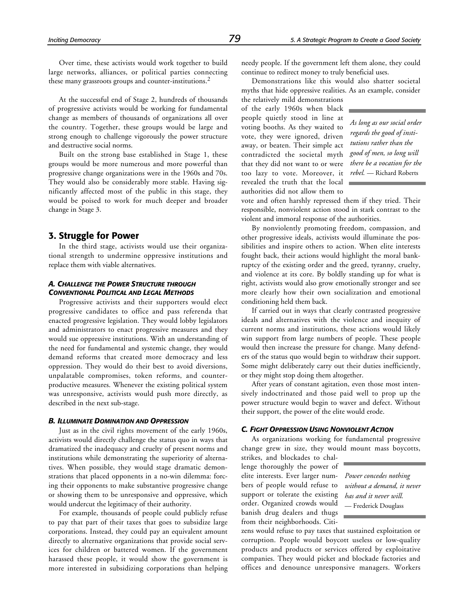At the successful end of Stage 2, hundreds of thousands of progressive activists would be working for fundamental change as members of thousands of organizations all over the country. Together, these groups would be large and strong enough to challenge vigorously the power structure and destructive social norms.

Built on the strong base established in Stage 1, these groups would be more numerous and more powerful than progressive change organizations were in the 1960s and 70s. They would also be considerably more stable. Having significantly affected most of the public in this stage, they would be poised to work for much deeper and broader change in Stage 3.

### **3. Struggle for Power**

In the third stage, activists would use their organizational strength to undermine oppressive institutions and replace them with viable alternatives.

### *A. CHALLENGE THE POWER STRUCTURE THROUGH CONVENTIONAL POLITICAL AND LEGAL METHODS*

Progressive activists and their supporters would elect progressive candidates to office and pass referenda that enacted progressive legislation. They would lobby legislators and administrators to enact progressive measures and they would sue oppressive institutions. With an understanding of the need for fundamental and systemic change, they would demand reforms that created more democracy and less oppression. They would do their best to avoid diversions, unpalatable compromises, token reforms, and counterproductive measures. Whenever the existing political system was unresponsive, activists would push more directly, as described in the next sub-stage.

### *B. ILLUMINATE DOMINATION AND OPPRESSION*

Just as in the civil rights movement of the early 1960s, activists would directly challenge the status quo in ways that dramatized the inadequacy and cruelty of present norms and institutions while demonstrating the superiority of alternatives. When possible, they would stage dramatic demonstrations that placed opponents in a no-win dilemma: forcing their opponents to make substantive progressive change or showing them to be unresponsive and oppressive, which would undercut the legitimacy of their authority.

For example, thousands of people could publicly refuse to pay that part of their taxes that goes to subsidize large corporations. Instead, they could pay an equivalent amount directly to alternative organizations that provide social services for children or battered women. If the government harassed these people, it would show the government is more interested in subsidizing corporations than helping needy people. If the government left them alone, they could continue to redirect money to truly beneficial uses.

Demonstrations like this would also shatter societal myths that hide oppressive realities. As an example, consider

the relatively mild demonstrations of the early 1960s when black people quietly stood in line at voting booths. As they waited to vote, they were ignored, driven away, or beaten. Their simple act contradicted the societal myth that they did not want to or were too lazy to vote. Moreover, it revealed the truth that the local authorities did not allow them to

*As long as our social order regards the good of institutions rather than the good of men, so long will there be a vocation for the rebel.* — Richard Roberts

vote and often harshly repressed them if they tried. Their responsible, nonviolent action stood in stark contrast to the violent and immoral response of the authorities.

By nonviolently promoting freedom, compassion, and other progressive ideals, activists would illuminate the possibilities and inspire others to action. When elite interests fought back, their actions would highlight the moral bankruptcy of the existing order and the greed, tyranny, cruelty, and violence at its core. By boldly standing up for what is right, activists would also grow emotionally stronger and see more clearly how their own socialization and emotional conditioning held them back.

If carried out in ways that clearly contrasted progressive ideals and alternatives with the violence and inequity of current norms and institutions, these actions would likely win support from large numbers of people. These people would then increase the pressure for change. Many defenders of the status quo would begin to withdraw their support. Some might deliberately carry out their duties inefficiently, or they might stop doing them altogether.

After years of constant agitation, even those most intensively indoctrinated and those paid well to prop up the power structure would begin to waver and defect. Without their support, the power of the elite would erode.

### *C. FIGHT OPPRESSION USING NONVIOLENT ACTION*

As organizations working for fundamental progressive change grew in size, they would mount mass boycotts,

strikes, and blockades to challenge thoroughly the power of elite interests. Ever larger numbers of people would refuse to support or tolerate the existing order. Organized crowds would banish drug dealers and thugs from their neighborhoods. Citi-

*Power concedes nothing without a demand, it never has and it never will.* — Frederick Douglass

zens would refuse to pay taxes that sustained exploitation or corruption. People would boycott useless or low-quality products and products or services offered by exploitative companies. They would picket and blockade factories and offices and denounce unresponsive managers. Workers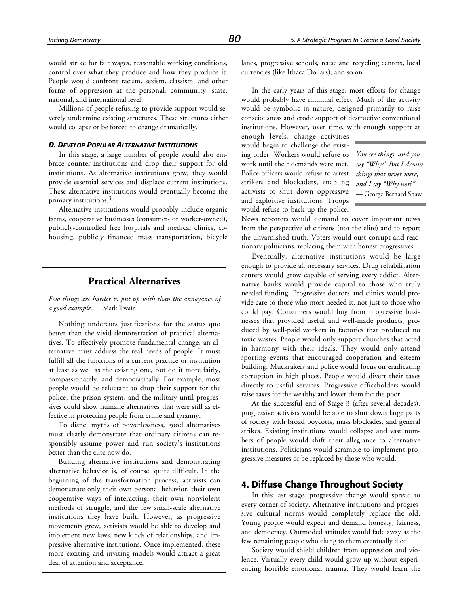would strike for fair wages, reasonable working conditions, control over what they produce and how they produce it. People would confront racism, sexism, classism, and other forms of oppression at the personal, community, state, national, and international level.

Millions of people refusing to provide support would severely undermine existing structures. These structures either would collapse or be forced to change dramatically.

### *D. DEVELOP POPULAR ALTERNATIVE INSTITUTIONS*

In this stage, a large number of people would also embrace counter-institutions and drop their support for old institutions. As alternative institutions grew, they would provide essential services and displace current institutions. These alternative institutions would eventually become the primary institutions.3

Alternative institutions would probably include organic farms, cooperative businesses (consumer- or worker-owned), publicly-controlled free hospitals and medical clinics, cohousing, publicly financed mass transportation, bicycle

### **Practical Alternatives**

*Few things are harder to put up with than the annoyance of a good example.* — Mark Twain

Nothing undercuts justifications for the status quo better than the vivid demonstration of practical alternatives. To effectively promote fundamental change, an alternative must address the real needs of people. It must fulfill all the functions of a current practice or institution at least as well as the existing one, but do it more fairly, compassionately, and democratically. For example, most people would be reluctant to drop their support for the police, the prison system, and the military until progressives could show humane alternatives that were still as effective in protecting people from crime and tyranny.

To dispel myths of powerlessness, good alternatives must clearly demonstrate that ordinary citizens can responsibly assume power and run society's institutions better than the elite now do.

Building alternative institutions and demonstrating alternative behavior is, of course, quite difficult. In the beginning of the transformation process, activists can demonstrate only their own personal behavior, their own cooperative ways of interacting, their own nonviolent methods of struggle, and the few small-scale alternative institutions they have built. However, as progressive movements grew, activists would be able to develop and implement new laws, new kinds of relationships, and impressive alternative institutions. Once implemented, these more exciting and inviting models would attract a great deal of attention and acceptance.

lanes, progressive schools, reuse and recycling centers, local currencies (like Ithaca Dollars), and so on.

In the early years of this stage, most efforts for change would probably have minimal effect. Much of the activity would be symbolic in nature, designed primarily to raise consciousness and erode support of destructive conventional institutions. However, over time, with enough support at

enough levels, change activities would begin to challenge the existing order. Workers would refuse to work until their demands were met. Police officers would refuse to arrest strikers and blockaders, enabling activists to shut down oppressive and exploitive institutions. Troops would refuse to back up the police.

*You see things, and you say "Why?" But I dream things that never were, and I say "Why not?"* — George Bernard Shaw

News reporters would demand to cover important news from the perspective of citizens (not the elite) and to report the unvarnished truth. Voters would oust corrupt and reactionary politicians, replacing them with honest progressives.

Eventually, alternative institutions would be large enough to provide all necessary services. Drug rehabilitation centers would grow capable of serving every addict. Alternative banks would provide capital to those who truly needed funding. Progressive doctors and clinics would provide care to those who most needed it, not just to those who could pay. Consumers would buy from progressive businesses that provided useful and well-made products, produced by well-paid workers in factories that produced no toxic wastes. People would only support churches that acted in harmony with their ideals. They would only attend sporting events that encouraged cooperation and esteem building. Muckrakers and police would focus on eradicating corruption in high places. People would divert their taxes directly to useful services. Progressive officeholders would raise taxes for the wealthy and lower them for the poor.

At the successful end of Stage 3 (after several decades), progressive activists would be able to shut down large parts of society with broad boycotts, mass blockades, and general strikes. Existing institutions would collapse and vast numbers of people would shift their allegiance to alternative institutions. Politicians would scramble to implement progressive measures or be replaced by those who would.

### **4. Diffuse Change Throughout Society**

In this last stage, progressive change would spread to every corner of society. Alternative institutions and progressive cultural norms would completely replace the old. Young people would expect and demand honesty, fairness, and democracy. Outmoded attitudes would fade away as the few remaining people who clung to them eventually died.

Society would shield children from oppression and violence. Virtually every child would grow up without experiencing horrible emotional trauma. They would learn the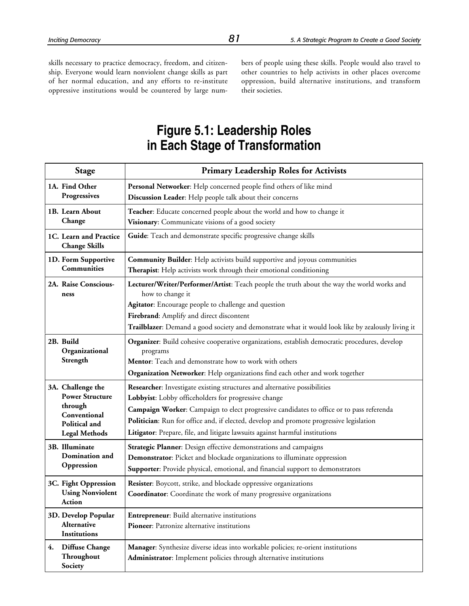skills necessary to practice democracy, freedom, and citizenship. Everyone would learn nonviolent change skills as part of her normal education, and any efforts to re-institute oppressive institutions would be countered by large numbers of people using these skills. People would also travel to other countries to help activists in other places overcome oppression, build alternative institutions, and transform their societies.

# **Figure 5.1: Leadership Roles in Each Stage of Transformation**

|    | <b>Stage</b>                                                                                                    | <b>Primary Leadership Roles for Activists</b>                                                                                                                                                                                                                                                                                                                                                            |
|----|-----------------------------------------------------------------------------------------------------------------|----------------------------------------------------------------------------------------------------------------------------------------------------------------------------------------------------------------------------------------------------------------------------------------------------------------------------------------------------------------------------------------------------------|
|    | 1A. Find Other<br>Progressives                                                                                  | Personal Networker: Help concerned people find others of like mind<br>Discussion Leader: Help people talk about their concerns                                                                                                                                                                                                                                                                           |
|    | 1B. Learn About<br>Change                                                                                       | Teacher: Educate concerned people about the world and how to change it<br>Visionary: Communicate visions of a good society                                                                                                                                                                                                                                                                               |
|    | 1C. Learn and Practice<br><b>Change Skills</b>                                                                  | Guide: Teach and demonstrate specific progressive change skills                                                                                                                                                                                                                                                                                                                                          |
|    | 1D. Form Supportive<br>Communities                                                                              | <b>Community Builder:</b> Help activists build supportive and joyous communities<br>Therapist: Help activists work through their emotional conditioning                                                                                                                                                                                                                                                  |
|    | 2A. Raise Conscious-<br>ness                                                                                    | Lecturer/Writer/Performer/Artist: Teach people the truth about the way the world works and<br>how to change it<br>Agitator: Encourage people to challenge and question<br>Firebrand: Amplify and direct discontent<br>Trailblazer: Demand a good society and demonstrate what it would look like by zealously living it                                                                                  |
|    | 2B. Build<br>Organizational<br>Strength                                                                         | Organizer: Build cohesive cooperative organizations, establish democratic procedures, develop<br>programs<br>Mentor: Teach and demonstrate how to work with others<br>Organization Networker: Help organizations find each other and work together                                                                                                                                                       |
|    | 3A. Challenge the<br><b>Power Structure</b><br>through<br>Conventional<br>Political and<br><b>Legal Methods</b> | Researcher: Investigate existing structures and alternative possibilities<br>Lobbyist: Lobby officeholders for progressive change<br>Campaign Worker: Campaign to elect progressive candidates to office or to pass referenda<br>Politician: Run for office and, if elected, develop and promote progressive legislation<br>Litigator: Prepare, file, and litigate lawsuits against harmful institutions |
|    | 3B. Illuminate<br>Domination and<br>Oppression                                                                  | Strategic Planner: Design effective demonstrations and campaigns<br>Demonstrator: Picket and blockade organizations to illuminate oppression<br>Supporter: Provide physical, emotional, and financial support to demonstrators                                                                                                                                                                           |
|    | 3C. Fight Oppression<br><b>Using Nonviolent</b><br>Action                                                       | Resister: Boycott, strike, and blockade oppressive organizations<br><b>Coordinator:</b> Coordinate the work of many progressive organizations                                                                                                                                                                                                                                                            |
|    | 3D. Develop Popular<br>Alternative<br>Institutions                                                              | <b>Entrepreneur:</b> Build alternative institutions<br>Pioneer: Patronize alternative institutions                                                                                                                                                                                                                                                                                                       |
| 4. | <b>Diffuse Change</b><br>Throughout<br>Society                                                                  | Manager: Synthesize diverse ideas into workable policies; re-orient institutions<br>Administrator: Implement policies through alternative institutions                                                                                                                                                                                                                                                   |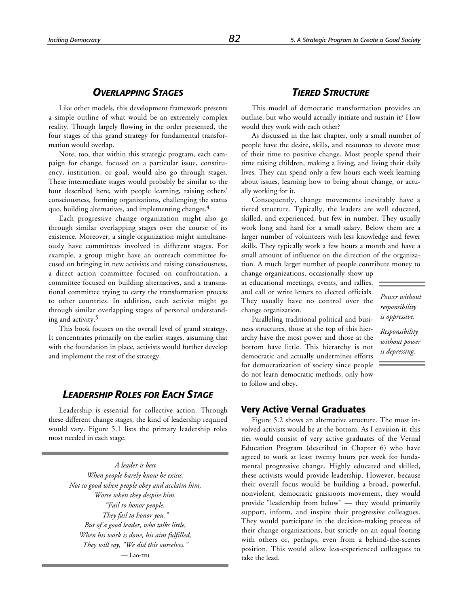### *OVERLAPPING STAGES*

Like other models, this development framework presents a simple outline of what would be an extremely complex reality. Though largely flowing in the order presented, the four stages of this grand strategy for fundamental transformation would overlap.

Note, too, that within this strategic program, each campaign for change, focused on a particular issue, constituency, institution, or goal, would also go through stages. These intermediate stages would probably be similar to the four described here, with people learning, raising others' consciousness, forming organizations, challenging the status quo, building alternatives, and implementing changes.<sup>4</sup>

Each progressive change organization might also go through similar overlapping stages over the course of its existence. Moreover, a single organization might simultaneously have committees involved in different stages. For example, a group might have an outreach committee focused on bringing in new activists and raising consciousness, a direct action committee focused on confrontation, a committee focused on building alternatives, and a transnational committee trying to carry the transformation process to other countries. In addition, each activist might go through similar overlapping stages of personal understanding and activity.5

This book focuses on the overall level of grand strategy. It concentrates primarily on the earlier stages, assuming that with the foundation in place, activists would further develop and implement the rest of the strategy.

### *LEADERSHIP ROLES FOR EACH STAGE*

Leadership is essential for collective action. Through these different change stages, the kind of leadership required would vary. Figure 5.1 lists the primary leadership roles most needed in each stage.

> *A leader is best When people barely know he exists. Not so good when people obey and acclaim him, Worse when they despise him. "Fail to honor people, They fail to honor you." But of a good leader, who talks little, When his work is done, his aim fulfilled, They will say, "We did this ourselves."* — Lao-tzu

### *TIERED STRUCTURE*

This model of democratic transformation provides an outline, but who would actually initiate and sustain it? How would they work with each other?

As discussed in the last chapter, only a small number of people have the desire, skills, and resources to devote most of their time to positive change. Most people spend their time raising children, making a living, and living their daily lives. They can spend only a few hours each week learning about issues, learning how to bring about change, or actually working for it.

Consequently, change movements inevitably have a tiered structure. Typically, the leaders are well educated, skilled, and experienced, but few in number. They usually work long and hard for a small salary. Below them are a larger number of volunteers with less knowledge and fewer skills. They typically work a few hours a month and have a small amount of influence on the direction of the organization. A much larger number of people contribute money to

change organizations, occasionally show up at educational meetings, events, and rallies, and call or write letters to elected officials. They usually have no control over the change organization.

*Power without responsibility is oppressive.*

*Responsibility without power is depressing.*

Paralleling traditional political and business structures, those at the top of this hierarchy have the most power and those at the bottom have little. This hierarchy is not democratic and actually undermines efforts for democratization of society since people do not learn democratic methods, only how to follow and obey.

### **Very Active Vernal Graduates**

Figure 5.2 shows an alternative structure. The most involved activists would be at the bottom. As I envision it, this tier would consist of very active graduates of the Vernal Education Program (described in Chapter 6) who have agreed to work at least twenty hours per week for fundamental progressive change. Highly educated and skilled, these activists would provide leadership. However, because their overall focus would be building a broad, powerful, nonviolent, democratic grassroots movement, they would provide "leadership from below" — they would primarily support, inform, and inspire their progressive colleagues. They would participate in the decision-making process of their change organizations, but strictly on an equal footing with others or, perhaps, even from a behind-the-scenes position. This would allow less-experienced colleagues to take the lead.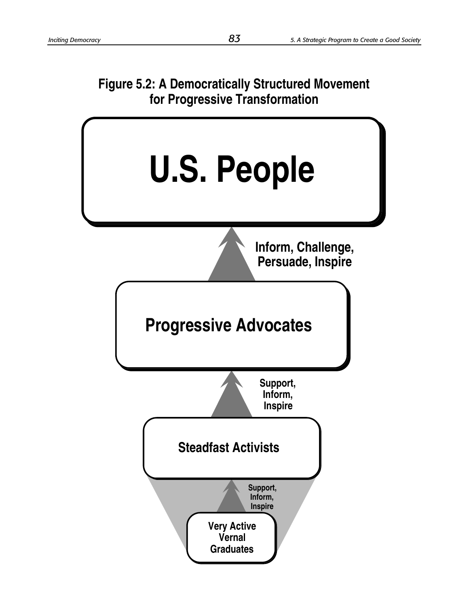# **Figure 5.2: A Democratically Structured Movement for Progressive Transformation**

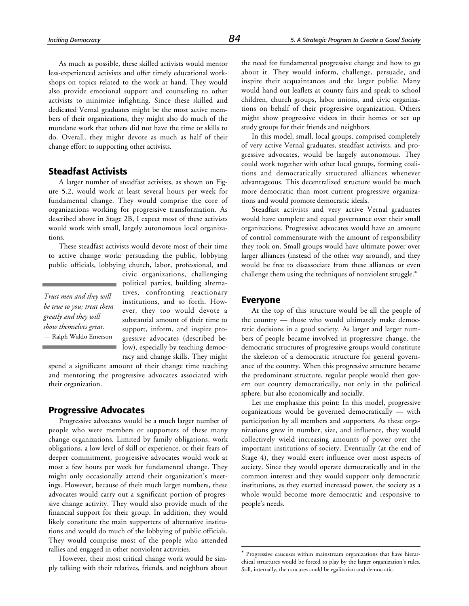As much as possible, these skilled activists would mentor less-experienced activists and offer timely educational workshops on topics related to the work at hand. They would also provide emotional support and counseling to other activists to minimize infighting. Since these skilled and dedicated Vernal graduates might be the most active members of their organizations, they might also do much of the mundane work that others did not have the time or skills to do. Overall, they might devote as much as half of their change effort to supporting other activists.

### **Steadfast Activists**

A larger number of steadfast activists, as shown on Figure 5.2, would work at least several hours per week for fundamental change. They would comprise the core of organizations working for progressive transformation. As described above in Stage 2B, I expect most of these activists would work with small, largely autonomous local organizations.

These steadfast activists would devote most of their time to active change work: persuading the public, lobbying public officials, lobbying church, labor, professional, and

*Trust men and they will be true to you; treat them greatly and they will show themselves great.* — Ralph Waldo Emerson

civic organizations, challenging political parties, building alternatives, confronting reactionary institutions, and so forth. However, they too would devote a substantial amount of their time to support, inform, and inspire progressive advocates (described below), especially by teaching democracy and change skills. They might

spend a significant amount of their change time teaching and mentoring the progressive advocates associated with their organization.

### **Progressive Advocates**

Progressive advocates would be a much larger number of people who were members or supporters of these many change organizations. Limited by family obligations, work obligations, a low level of skill or experience, or their fears of deeper commitment, progressive advocates would work at most a few hours per week for fundamental change. They might only occasionally attend their organization's meetings. However, because of their much larger numbers, these advocates would carry out a significant portion of progressive change activity. They would also provide much of the financial support for their group. In addition, they would likely constitute the main supporters of alternative institutions and would do much of the lobbying of public officials. They would comprise most of the people who attended rallies and engaged in other nonviolent activities.

However, their most critical change work would be simply talking with their relatives, friends, and neighbors about the need for fundamental progressive change and how to go about it. They would inform, challenge, persuade, and inspire their acquaintances and the larger public. Many would hand out leaflets at county fairs and speak to school children, church groups, labor unions, and civic organizations on behalf of their progressive organization. Others might show progressive videos in their homes or set up study groups for their friends and neighbors.

In this model, small, local groups, comprised completely of very active Vernal graduates, steadfast activists, and progressive advocates, would be largely autonomous. They could work together with other local groups, forming coalitions and democratically structured alliances whenever advantageous. This decentralized structure would be much more democratic than most current progressive organizations and would promote democratic ideals.

Steadfast activists and very active Vernal graduates would have complete and equal governance over their small organizations. Progressive advocates would have an amount of control commensurate with the amount of responsibility they took on. Small groups would have ultimate power over larger alliances (instead of the other way around), and they would be free to disassociate from these alliances or even challenge them using the techniques of nonviolent struggle.\*

### **Everyone**

 $\overline{a}$ 

At the top of this structure would be all the people of the country — those who would ultimately make democratic decisions in a good society. As larger and larger numbers of people became involved in progressive change, the democratic structures of progressive groups would constitute the skeleton of a democratic structure for general governance of the country. When this progressive structure became the predominant structure, regular people would then govern our country democratically, not only in the political sphere, but also economically and socially.

Let me emphasize this point: In this model, progressive organizations would be governed democratically — with participation by all members and supporters. As these organizations grew in number, size, and influence, they would collectively wield increasing amounts of power over the important institutions of society. Eventually (at the end of Stage 4), they would exert influence over most aspects of society. Since they would operate democratically and in the common interest and they would support only democratic institutions, as they exerted increased power, the society as a whole would become more democratic and responsive to people's needs.

Progressive caucuses within mainstream organizations that have hierarchical structures would be forced to play by the larger organization's rules. Still, internally, the caucuses could be egalitarian and democratic.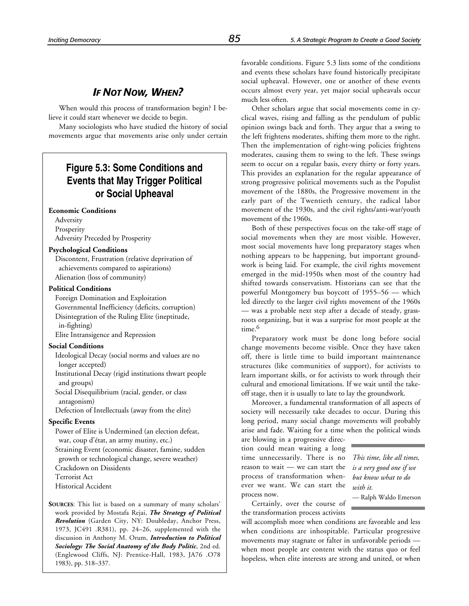### *IF NOT NOW, WHEN?*

When would this process of transformation begin? I believe it could start whenever we decide to begin.

Many sociologists who have studied the history of social movements argue that movements arise only under certain

### **Figure 5.3: Some Conditions and Events that May Trigger Political or Social Upheaval**

### **Economic Conditions**

Adversity Prosperity Adversity Preceded by Prosperity

### **Psychological Conditions**

Discontent, Frustration (relative deprivation of achievements compared to aspirations) Alienation (loss of community)

### **Political Conditions**

Foreign Domination and Exploitation Governmental Inefficiency (deficits, corruption) Disintegration of the Ruling Elite (ineptitude, in-fighting) Elite Intransigence and Repression

**Social Conditions**

Ideological Decay (social norms and values are no longer accepted)

Institutional Decay (rigid institutions thwart people and groups)

Social Disequilibrium (racial, gender, or class antagonism)

Defection of Intellectuals (away from the elite)

### **Specific Events**

Power of Elite is Undermined (an election defeat, war, coup d'état, an army mutiny, etc.) Straining Event (economic disaster, famine, sudden growth or technological change, severe weather) Crackdown on Dissidents Terrorist Act Historical Accident

**SOURCES**: This list is based on a summary of many scholars' work provided by Mostafa Rejai, *The Strategy of Political Revolution* (Garden City, NY: Doubleday, Anchor Press, 1973, JC491 .R381), pp. 24–26, supplemented with the discussion in Anthony M. Orum, *Introduction to Political Sociology: The Social Anatomy of the Body Politic*, 2nd ed. (Englewood Cliffs, NJ: Prentice-Hall, 1983, JA76 .O78 1983), pp. 318–337.

favorable conditions. Figure 5.3 lists some of the conditions and events these scholars have found historically precipitate social upheaval. However, one or another of these events occurs almost every year, yet major social upheavals occur much less often.

Other scholars argue that social movements come in cyclical waves, rising and falling as the pendulum of public opinion swings back and forth. They argue that a swing to the left frightens moderates, shifting them more to the right. Then the implementation of right-wing policies frightens moderates, causing them to swing to the left. These swings seem to occur on a regular basis, every thirty or forty years. This provides an explanation for the regular appearance of strong progressive political movements such as the Populist movement of the 1880s, the Progressive movement in the early part of the Twentieth century, the radical labor movement of the 1930s, and the civil rights/anti-war/youth movement of the 1960s.

Both of these perspectives focus on the take-off stage of social movements when they are most visible. However, most social movements have long preparatory stages when nothing appears to be happening, but important groundwork is being laid. For example, the civil rights movement emerged in the mid-1950s when most of the country had shifted towards conservatism. Historians can see that the powerful Montgomery bus boycott of 1955–56 — which led directly to the larger civil rights movement of the 1960s — was a probable next step after a decade of steady, grassroots organizing, but it was a surprise for most people at the time.<sup>6</sup>

Preparatory work must be done long before social change movements become visible. Once they have taken off, there is little time to build important maintenance structures (like communities of support), for activists to learn important skills, or for activists to work through their cultural and emotional limitations. If we wait until the takeoff stage, then it is usually to late to lay the groundwork.

Moreover, a fundamental transformation of all aspects of society will necessarily take decades to occur. During this long period, many social change movements will probably arise and fade. Waiting for a time when the political winds

are blowing in a progressive direction could mean waiting a long time unnecessarily. There is no reason to wait — we can start the process of transformation whenever we want. We can start the process now.

*This time, like all times, is a very good one if we but know what to do with it.*

Certainly, over the course of — Ralph Waldo Emerson

the transformation process activists will accomplish more when conditions are favorable and less when conditions are inhospitable. Particular progressive movements may stagnate or falter in unfavorable periods when most people are content with the status quo or feel hopeless, when elite interests are strong and united, or when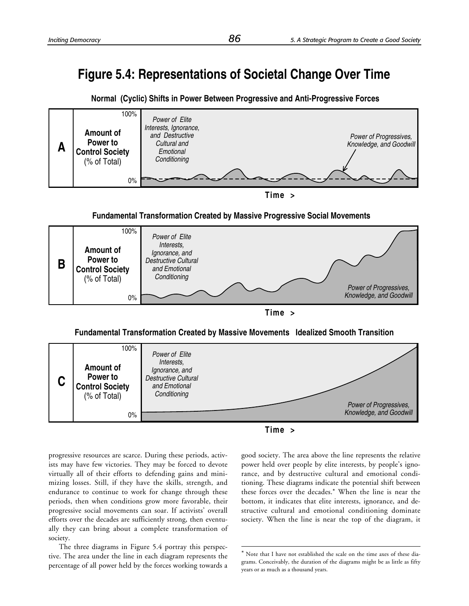# **Figure 5.4: Representations of Societal Change Over Time**







**Fundamental Transformation Created by Massive Progressive Social Movements**



**Time >**

### **Fundamental Transformation Created by Massive Movements Idealized Smooth Transition**



 $\overline{a}$ 



progressive resources are scarce. During these periods, activists may have few victories. They may be forced to devote virtually all of their efforts to defending gains and minimizing losses. Still, if they have the skills, strength, and endurance to continue to work for change through these periods, then when conditions grow more favorable, their progressive social movements can soar. If activists' overall efforts over the decades are sufficiently strong, then eventually they can bring about a complete transformation of society.

The three diagrams in Figure 5.4 portray this perspective. The area under the line in each diagram represents the percentage of all power held by the forces working towards a good society. The area above the line represents the relative power held over people by elite interests, by people's ignorance, and by destructive cultural and emotional conditioning. These diagrams indicate the potential shift between these forces over the decades.\* When the line is near the bottom, it indicates that elite interests, ignorance, and destructive cultural and emotional conditioning dominate society. When the line is near the top of the diagram, it

Note that I have not established the scale on the time axes of these diagrams. Conceivably, the duration of the diagrams might be as little as fifty years or as much as a thousand years.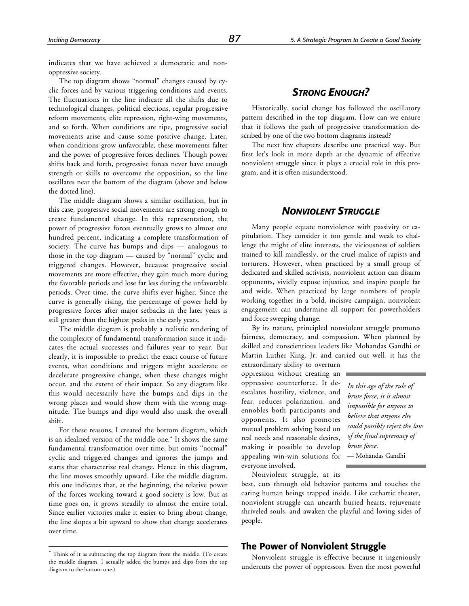indicates that we have achieved a democratic and nonoppressive society.

The top diagram shows "normal" changes caused by cyclic forces and by various triggering conditions and events. The fluctuations in the line indicate all the shifts due to technological changes, political elections, regular progressive reform movements, elite repression, right-wing movements, and so forth. When conditions are ripe, progressive social movements arise and cause some positive change. Later, when conditions grow unfavorable, these movements falter and the power of progressive forces declines. Though power shifts back and forth, progressive forces never have enough strength or skills to overcome the opposition, so the line oscillates near the bottom of the diagram (above and below the dotted line).

The middle diagram shows a similar oscillation, but in this case, progressive social movements are strong enough to create fundamental change. In this representation, the power of progressive forces eventually grows to almost one hundred percent, indicating a complete transformation of society. The curve has bumps and dips — analogous to those in the top diagram — caused by "normal" cyclic and triggered changes. However, because progressive social movements are more effective, they gain much more during the favorable periods and lose far less during the unfavorable periods. Over time, the curve shifts ever higher. Since the curve is generally rising, the percentage of power held by progressive forces after major setbacks in the later years is still greater than the highest peaks in the early years.

The middle diagram is probably a realistic rendering of the complexity of fundamental transformation since it indicates the actual successes and failures year to year. But clearly, it is impossible to predict the exact course of future events, what conditions and triggers might accelerate or decelerate progressive change, when these changes might occur, and the extent of their impact. So any diagram like this would necessarily have the bumps and dips in the wrong places and would show them with the wrong magnitude. The bumps and dips would also mask the overall shift.

For these reasons, I created the bottom diagram, which is an idealized version of the middle one.\* It shows the same fundamental transformation over time, but omits "normal" cyclic and triggered changes and ignores the jumps and starts that characterize real change. Hence in this diagram, the line moves smoothly upward. Like the middle diagram, this one indicates that, at the beginning, the relative power of the forces working toward a good society is low. But as time goes on, it grows steadily to almost the entire total. Since earlier victories make it easier to bring about change, the line slopes a bit upward to show that change accelerates over time.

-

Historically, social change has followed the oscillatory pattern described in the top diagram. How can we ensure that it follows the path of progressive transformation described by one of the two bottom diagrams instead?

The next few chapters describe one practical way. But first let's look in more depth at the dynamic of effective nonviolent struggle since it plays a crucial role in this program, and it is often misunderstood.

### *NONVIOLENT STRUGGLE*

Many people equate nonviolence with passivity or capitulation. They consider it too gentle and weak to challenge the might of elite interests, the viciousness of soldiers trained to kill mindlessly, or the cruel malice of rapists and torturers. However, when practiced by a small group of dedicated and skilled activists, nonviolent action can disarm opponents, vividly expose injustice, and inspire people far and wide. When practiced by large numbers of people working together in a bold, incisive campaign, nonviolent engagement can undermine all support for powerholders and force sweeping change.

By its nature, principled nonviolent struggle promotes fairness, democracy, and compassion. When planned by skilled and conscientious leaders like Mohandas Gandhi or Martin Luther King, Jr. and carried out well, it has the

extraordinary ability to overturn oppression without creating an oppressive counterforce. It deescalates hostility, violence, and fear, reduces polarization, and ennobles both participants and opponents. It also promotes mutual problem solving based on real needs and reasonable desires, making it possible to develop appealing win-win solutions for everyone involved.

*In this age of the rule of brute force, it is almost impossible for anyone to believe that anyone else could possibly reject the law of the final supremacy of brute force.* — Mohandas Gandhi

Nonviolent struggle, at its

best, cuts through old behavior patterns and touches the caring human beings trapped inside. Like cathartic theater, nonviolent struggle can unearth buried hearts, rejuvenate shriveled souls, and awaken the playful and loving sides of people.

### **The Power of Nonviolent Struggle**

Nonviolent struggle is effective because it ingeniously undercuts the power of oppressors. Even the most powerful

<sup>\*</sup> Think of it as subtracting the top diagram from the middle. (To create the middle diagram, I actually added the bumps and dips from the top diagram to the bottom one.)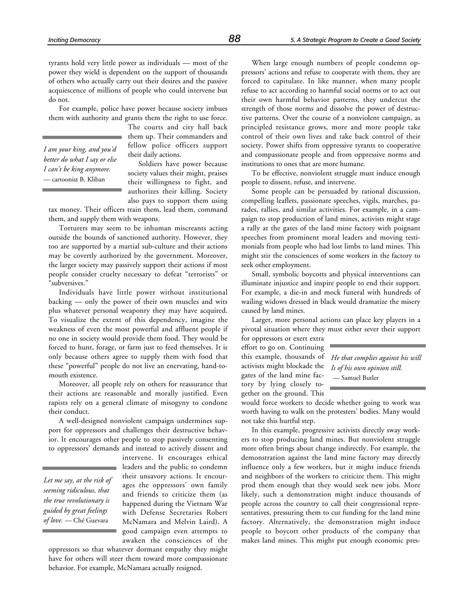tyrants hold very little power as individuals — most of the power they wield is dependent on the support of thousands of others who actually carry out their desires and the passive acquiescence of millions of people who could intervene but do not.

For example, police have power because society imbues them with authority and grants them the right to use force.

*I am your king, and you'd better do what I say or else I can't be king anymore.* — cartoonist B. Kliban

The courts and city hall back them up. Their commanders and fellow police officers support their daily actions.

Soldiers have power because society values their might, praises their willingness to fight, and authorizes their killing. Society also pays to support them using

tax money. Their officers train them, lead them, command them, and supply them with weapons.

Torturers may seem to be inhuman miscreants acting outside the bounds of sanctioned authority. However, they too are supported by a martial sub-culture and their actions may be covertly authorized by the government. Moreover, the larger society may passively support their actions if most people consider cruelty necessary to defeat "terrorists" or "subversives."

Individuals have little power without institutional backing — only the power of their own muscles and wits plus whatever personal weaponry they may have acquired. To visualize the extent of this dependency, imagine the weakness of even the most powerful and affluent people if no one in society would provide them food. They would be forced to hunt, forage, or farm just to feed themselves. It is only because others agree to supply them with food that these "powerful" people do not live an enervating, hand-tomouth existence.

Moreover, all people rely on others for reassurance that their actions are reasonable and morally justified. Even rapists rely on a general climate of misogyny to condone their conduct.

A well-designed nonviolent campaign undermines support for oppressors and challenges their destructive behavior. It encourages other people to stop passively consenting to oppressors' demands and instead to actively dissent and

*Let me say, at the risk of seeming ridiculous, that the true revolutionary is guided by great feelings of love.* — Ché Guevara

intervene. It encourages ethical leaders and the public to condemn their unsavory actions. It encourages the oppressors' own family and friends to criticize them (as happened during the Vietnam War with Defense Secretaries Robert McNamara and Melvin Laird). A good campaign even attempts to awaken the consciences of the

oppressors so that whatever dormant empathy they might have for others will steer them toward more compassionate behavior. For example, McNamara actually resigned.

When large enough numbers of people condemn oppressors' actions and refuse to cooperate with them, they are forced to capitulate. In like manner, when many people refuse to act according to harmful social norms or to act out their own harmful behavior patterns, they undercut the strength of those norms and dissolve the power of destructive patterns. Over the course of a nonviolent campaign, as principled resistance grows, more and more people take control of their own lives and take back control of their society. Power shifts from oppressive tyrants to cooperative and compassionate people and from oppressive norms and institutions to ones that are more humane.

To be effective, nonviolent struggle must induce enough people to dissent, refuse, and intervene.

Some people can be persuaded by rational discussion, compelling leaflets, passionate speeches, vigils, marches, parades, rallies, and similar activities. For example, in a campaign to stop production of land mines, activists might stage a rally at the gates of the land mine factory with poignant speeches from prominent moral leaders and moving testimonials from people who had lost limbs to land mines. This might stir the consciences of some workers in the factory to seek other employment.

Small, symbolic boycotts and physical interventions can illuminate injustice and inspire people to end their support. For example, a die-in and mock funeral with hundreds of wailing widows dressed in black would dramatize the misery caused by land mines.

Larger, more personal actions can place key players in a pivotal situation where they must either sever their support

for oppressors or exert extra effort to go on. Continuing this example, thousands of activists might blockade the gates of the land mine factory by lying closely together on the ground. This

*He that complies against his will Is of his own opinion still.* — Samuel Butler

would force workers to decide whether going to work was worth having to walk on the protesters' bodies. Many would not take this hurtful step.

In this example, progressive activists directly sway workers to stop producing land mines. But nonviolent struggle more often brings about change indirectly. For example, the demonstration against the land mine factory may directly influence only a few workers, but it might induce friends and neighbors of the workers to criticize them. This might prod them enough that they would seek new jobs. More likely, such a demonstration might induce thousands of people across the country to call their congressional representatives, pressuring them to cut funding for the land mine factory. Alternatively, the demonstration might induce people to boycott other products of the company that makes land mines. This might put enough economic pres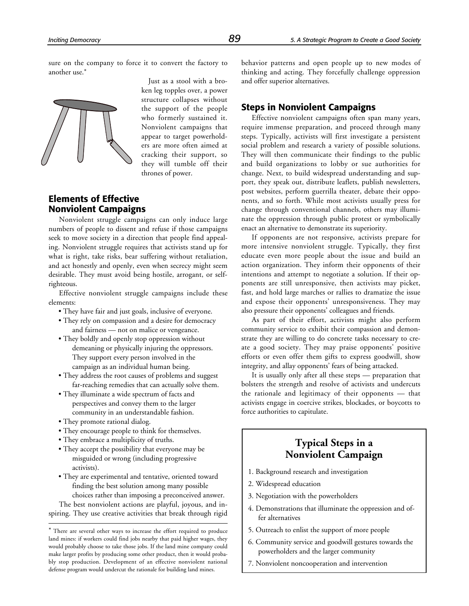sure on the company to force it to convert the factory to another use.\*



Just as a stool with a broken leg topples over, a power structure collapses without the support of the people who formerly sustained it. Nonviolent campaigns that appear to target powerholders are more often aimed at cracking their support, so they will tumble off their thrones of power.

### **Elements of Effective Nonviolent Campaigns**

Nonviolent struggle campaigns can only induce large numbers of people to dissent and refuse if those campaigns seek to move society in a direction that people find appealing. Nonviolent struggle requires that activists stand up for what is right, take risks, bear suffering without retaliation, and act honestly and openly, even when secrecy might seem desirable. They must avoid being hostile, arrogant, or selfrighteous.

Effective nonviolent struggle campaigns include these elements:

- They have fair and just goals, inclusive of everyone.
- They rely on compassion and a desire for democracy and fairness — not on malice or vengeance.
- They boldly and openly stop oppression without demeaning or physically injuring the oppressors. They support every person involved in the campaign as an individual human being.
- They address the root causes of problems and suggest far-reaching remedies that can actually solve them.
- They illuminate a wide spectrum of facts and perspectives and convey them to the larger community in an understandable fashion.
- They promote rational dialog.

-

- They encourage people to think for themselves.
- They embrace a multiplicity of truths.
- They accept the possibility that everyone may be misguided or wrong (including progressive activists).
- They are experimental and tentative, oriented toward finding the best solution among many possible choices rather than imposing a preconceived answer.

The best nonviolent actions are playful, joyous, and inspiring. They use creative activities that break through rigid behavior patterns and open people up to new modes of thinking and acting. They forcefully challenge oppression and offer superior alternatives.

### **Steps in Nonviolent Campaigns**

Effective nonviolent campaigns often span many years, require immense preparation, and proceed through many steps. Typically, activists will first investigate a persistent social problem and research a variety of possible solutions. They will then communicate their findings to the public and build organizations to lobby or sue authorities for change. Next, to build widespread understanding and support, they speak out, distribute leaflets, publish newsletters, post websites, perform guerrilla theater, debate their opponents, and so forth. While most activists usually press for change through conventional channels, others may illuminate the oppression through public protest or symbolically enact an alternative to demonstrate its superiority.

If opponents are not responsive, activists prepare for more intensive nonviolent struggle. Typically, they first educate even more people about the issue and build an action organization. They inform their opponents of their intentions and attempt to negotiate a solution. If their opponents are still unresponsive, then activists may picket, fast, and hold large marches or rallies to dramatize the issue and expose their opponents' unresponsiveness. They may also pressure their opponents' colleagues and friends.

As part of their effort, activists might also perform community service to exhibit their compassion and demonstrate they are willing to do concrete tasks necessary to create a good society. They may praise opponents' positive efforts or even offer them gifts to express goodwill, show integrity, and allay opponents' fears of being attacked.

It is usually only after all these steps — preparation that bolsters the strength and resolve of activists and undercuts the rationale and legitimacy of their opponents — that activists engage in coercive strikes, blockades, or boycotts to force authorities to capitulate.

### **Typical Steps in a Nonviolent Campaign**

- 1. Background research and investigation
- 2. Widespread education
- 3. Negotiation with the powerholders
- 4. Demonstrations that illuminate the oppression and offer alternatives
- 5. Outreach to enlist the support of more people
- 6. Community service and goodwill gestures towards the powerholders and the larger community
- 7. Nonviolent noncooperation and intervention

<sup>\*</sup> There are several other ways to increase the effort required to produce land mines: if workers could find jobs nearby that paid higher wages, they would probably choose to take those jobs. If the land mine company could make larger profits by producing some other product, then it would probably stop production. Development of an effective nonviolent national defense program would undercut the rationale for building land mines.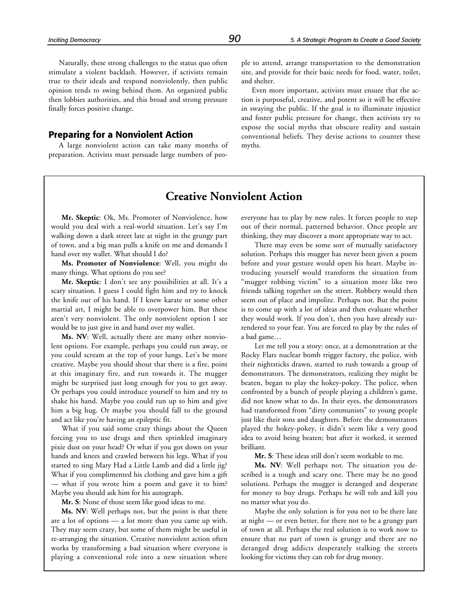Naturally, these strong challenges to the status quo often stimulate a violent backlash. However, if activists remain true to their ideals and respond nonviolently, then public opinion tends to swing behind them. An organized public then lobbies authorities, and this broad and strong pressure finally forces positive change.

### **Preparing for a Nonviolent Action**

A large nonviolent action can take many months of preparation. Activists must persuade large numbers of people to attend, arrange transportation to the demonstration site, and provide for their basic needs for food, water, toilet, and shelter.

Even more important, activists must ensure that the action is purposeful, creative, and potent so it will be effective in swaying the public. If the goal is to illuminate injustice and foster public pressure for change, then activists try to expose the social myths that obscure reality and sustain conventional beliefs. They devise actions to counter these myths.

### **Creative Nonviolent Action**

**Mr. Skeptic**: Ok, Ms. Promoter of Nonviolence, how would you deal with a real-world situation. Let's say I'm walking down a dark street late at night in the grungy part of town, and a big man pulls a knife on me and demands I hand over my wallet. What should I do?

**Ms. Promoter of Nonviolence**: Well, you might do many things. What options do you see?

**Mr. Skeptic**: I don't see any possibilities at all. It's a scary situation. I guess I could fight him and try to knock the knife out of his hand. If I knew karate or some other martial art, I might be able to overpower him. But these aren't very nonviolent. The only nonviolent option I see would be to just give in and hand over my wallet.

**Ms. NV**: Well, actually there are many other nonviolent options. For example, perhaps you could run away, or you could scream at the top of your lungs. Let's be more creative. Maybe you should shout that there is a fire, point at this imaginary fire, and run towards it. The mugger might be surprised just long enough for you to get away. Or perhaps you could introduce yourself to him and try to shake his hand. Maybe you could run up to him and give him a big hug. Or maybe you should fall to the ground and act like you're having an epileptic fit.

What if you said some crazy things about the Queen forcing you to use drugs and then sprinkled imaginary pixie dust on your head? Or what if you got down on your hands and knees and crawled between his legs. What if you started to sing Mary Had a Little Lamb and did a little jig? What if you complimented his clothing and gave him a gift — what if you wrote him a poem and gave it to him? Maybe you should ask him for his autograph.

**Mr. S**: None of those seem like good ideas to me.

**Ms. NV**: Well perhaps not, but the point is that there are a lot of options — a lot more than you came up with. They may seem crazy, but some of them might be useful in re-arranging the situation. Creative nonviolent action often works by transforming a bad situation where everyone is playing a conventional role into a new situation where everyone has to play by new rules. It forces people to step out of their normal, patterned behavior. Once people are thinking, they may discover a more appropriate way to act.

There may even be some sort of mutually satisfactory solution. Perhaps this mugger has never been given a poem before and your gesture would open his heart. Maybe introducing yourself would transform the situation from "mugger robbing victim" to a situation more like two friends talking together on the street. Robbery would then seem out of place and impolite. Perhaps not. But the point is to come up with a lot of ideas and then evaluate whether they would work. If you don't, then you have already surrendered to your fear. You are forced to play by the rules of a bad game…

Let me tell you a story: once, at a demonstration at the Rocky Flats nuclear bomb trigger factory, the police, with their nightsticks drawn, started to rush towards a group of demonstrators. The demonstrators, realizing they might be beaten, began to play the hokey-pokey. The police, when confronted by a bunch of people playing a children's game, did not know what to do. In their eyes, the demonstrators had transformed from "dirty communists" to young people just like their sons and daughters. Before the demonstrators played the hokey-pokey, it didn't seem like a very good idea to avoid being beaten; but after it worked, it seemed brilliant.

**Mr. S**: These ideas still don't seem workable to me.

**Ms. NV**: Well perhaps not. The situation you described is a tough and scary one. There may be no good solutions. Perhaps the mugger is deranged and desperate for money to buy drugs. Perhaps he will rob and kill you no matter what you do.

Maybe the only solution is for you not to be there late at night — or even better, for there not to be a grungy part of town at all. Perhaps the real solution is to work now to ensure that no part of town is grungy and there are no deranged drug addicts desperately stalking the streets looking for victims they can rob for drug money.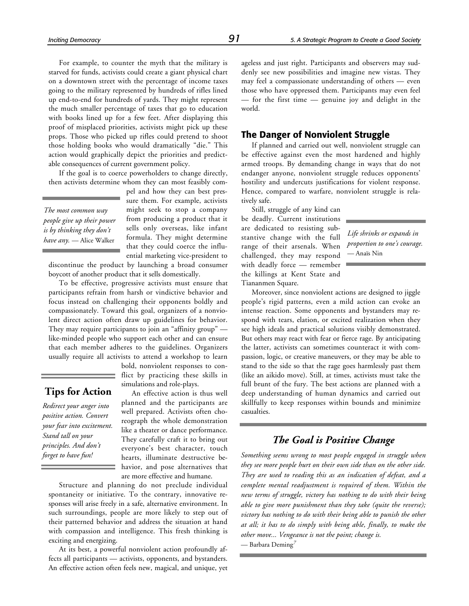For example, to counter the myth that the military is starved for funds, activists could create a giant physical chart on a downtown street with the percentage of income taxes going to the military represented by hundreds of rifles lined up end-to-end for hundreds of yards. They might represent the much smaller percentage of taxes that go to education with books lined up for a few feet. After displaying this proof of misplaced priorities, activists might pick up these props. Those who picked up rifles could pretend to shoot those holding books who would dramatically "die." This action would graphically depict the priorities and predictable consequences of current government policy.

If the goal is to coerce powerholders to change directly, then activists determine whom they can most feasibly com-

*The most common way people give up their power is by thinking they don't have any.* — Alice Walker

pel and how they can best pressure them. For example, activists might seek to stop a company from producing a product that it sells only overseas, like infant formula. They might determine that they could coerce the influential marketing vice-president to

discontinue the product by launching a broad consumer boycott of another product that it sells domestically.

To be effective, progressive activists must ensure that participants refrain from harsh or vindictive behavior and focus instead on challenging their opponents boldly and compassionately. Toward this goal, organizers of a nonviolent direct action often draw up guidelines for behavior. They may require participants to join an "affinity group" like-minded people who support each other and can ensure that each member adheres to the guidelines. Organizers usually require all activists to attend a workshop to learn

### **Tips for Action**

*Redirect your anger into positive action. Convert your fear into excitement. Stand tall on your principles. And don't forget to have fun!*

bold, nonviolent responses to conflict by practicing these skills in simulations and role-plays.

An effective action is thus well planned and the participants are well prepared. Activists often choreograph the whole demonstration like a theater or dance performance. They carefully craft it to bring out everyone's best character, touch hearts, illuminate destructive behavior, and pose alternatives that are more effective and humane.

Structure and planning do not preclude individual spontaneity or initiative. To the contrary, innovative responses will arise freely in a safe, alternative environment. In such surroundings, people are more likely to step out of their patterned behavior and address the situation at hand with compassion and intelligence. This fresh thinking is exciting and energizing.

At its best, a powerful nonviolent action profoundly affects all participants — activists, opponents, and bystanders. An effective action often feels new, magical, and unique, yet ageless and just right. Participants and observers may suddenly see new possibilities and imagine new vistas. They may feel a compassionate understanding of others — even those who have oppressed them. Participants may even feel — for the first time — genuine joy and delight in the world.

### **The Danger of Nonviolent Struggle**

If planned and carried out well, nonviolent struggle can be effective against even the most hardened and highly armed troops. By demanding change in ways that do not endanger anyone, nonviolent struggle reduces opponents' hostility and undercuts justifications for violent response. Hence, compared to warfare, nonviolent struggle is relatively safe.

Still, struggle of any kind can be deadly. Current institutions are dedicated to resisting substantive change with the full range of their arsenals. When challenged, they may respond with deadly force — remember the killings at Kent State and Tiananmen Square.

*Life shrinks or expands in proportion to one's courage.* — Anaïs Nin

Moreover, since nonviolent actions are designed to jiggle people's rigid patterns, even a mild action can evoke an intense reaction. Some opponents and bystanders may respond with tears, elation, or excited realization when they see high ideals and practical solutions visibly demonstrated. But others may react with fear or fierce rage. By anticipating the latter, activists can sometimes counteract it with compassion, logic, or creative maneuvers, or they may be able to stand to the side so that the rage goes harmlessly past them (like an aikido move). Still, at times, activists must take the full brunt of the fury. The best actions are planned with a deep understanding of human dynamics and carried out skillfully to keep responses within bounds and minimize casualties.

### *The Goal is Positive Change*

*Something seems wrong to most people engaged in struggle when they see more people hurt on their own side than on the other side. They are used to reading this as an indication of defeat, and a complete mental readjustment is required of them. Within the new terms of struggle, victory has nothing to do with their being able to give more punishment than they take (quite the reverse); victory has nothing to do with their being able to punish the other at all; it has to do simply with being able, finally, to make the other move... Vengeance is not the point; change is.*

— Barbara Deming*<sup>7</sup>*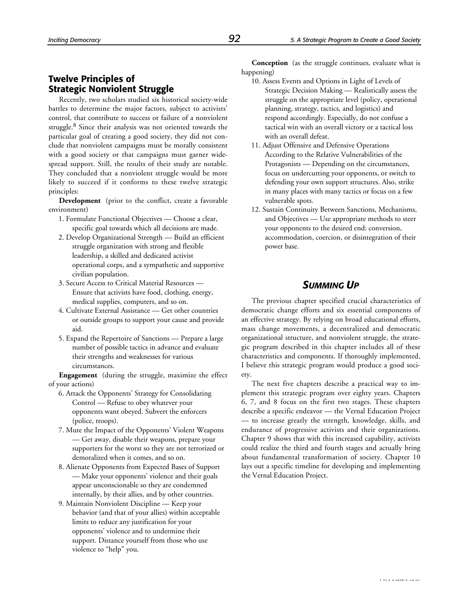### **Twelve Principles of Strategic Nonviolent Struggle**

Recently, two scholars studied six historical society-wide battles to determine the major factors, subject to activists' control, that contribute to success or failure of a nonviolent struggle.<sup>8</sup> Since their analysis was not oriented towards the particular goal of creating a good society, they did not conclude that nonviolent campaigns must be morally consistent with a good society or that campaigns must garner widespread support. Still, the results of their study are notable. They concluded that a nonviolent struggle would be more likely to succeed if it conforms to these twelve strategic principles:

**Development** (prior to the conflict, create a favorable environment)

- 1. Formulate Functional Objectives Choose a clear, specific goal towards which all decisions are made.
- 2. Develop Organizational Strength Build an efficient struggle organization with strong and flexible leadership, a skilled and dedicated activist operational corps, and a sympathetic and supportive civilian population.
- 3. Secure Access to Critical Material Resources Ensure that activists have food, clothing, energy, medical supplies, computers, and so on.
- 4. Cultivate External Assistance Get other countries or outside groups to support your cause and provide aid.
- 5. Expand the Repertoire of Sanctions Prepare a large number of possible tactics in advance and evaluate their strengths and weaknesses for various circumstances.

**Engagement** (during the struggle, maximize the effect of your actions)

- 6. Attack the Opponents' Strategy for Consolidating Control — Refuse to obey whatever your opponents want obeyed. Subvert the enforcers (police, troops).
- 7. Mute the Impact of the Opponents' Violent Weapons — Get away, disable their weapons, prepare your supporters for the worst so they are not terrorized or demoralized when it comes, and so on.
- 8. Alienate Opponents from Expected Bases of Support — Make your opponents' violence and their goals appear unconscionable so they are condemned internally, by their allies, and by other countries.
- 9. Maintain Nonviolent Discipline Keep your behavior (and that of your allies) within acceptable limits to reduce any justification for your opponents' violence and to undermine their support. Distance yourself from those who use violence to "help" you.

**Conception** (as the struggle continues, evaluate what is happening)

- 10. Assess Events and Options in Light of Levels of Strategic Decision Making — Realistically assess the struggle on the appropriate level (policy, operational planning, strategy, tactics, and logistics) and respond accordingly. Especially, do not confuse a tactical win with an overall victory or a tactical loss with an overall defeat.
- 11. Adjust Offensive and Defensive Operations According to the Relative Vulnerabilities of the Protagonists — Depending on the circumstances, focus on undercutting your opponents, or switch to defending your own support structures. Also, strike in many places with many tactics or focus on a few vulnerable spots.
- 12. Sustain Continuity Between Sanctions, Mechanisms, and Objectives — Use appropriate methods to steer your opponents to the desired end: conversion, accommodation, coercion, or disintegration of their power base.

### *SUMMING UP*

The previous chapter specified crucial characteristics of democratic change efforts and six essential components of an effective strategy. By relying on broad educational efforts, mass change movements, a decentralized and democratic organizational structure, and nonviolent struggle, the strategic program described in this chapter includes all of these characteristics and components. If thoroughly implemented, I believe this strategic program would produce a good society.

The next five chapters describe a practical way to implement this strategic program over eighty years. Chapters 6, 7, and 8 focus on the first two stages. These chapters describe a specific endeavor — the Vernal Education Project — to increase greatly the strength, knowledge, skills, and endurance of progressive activists and their organizations. Chapter 9 shows that with this increased capability, activists could realize the third and fourth stages and actually bring about fundamental transformation of society. Chapter 10 lays out a specific timeline for developing and implementing the Vernal Education Project.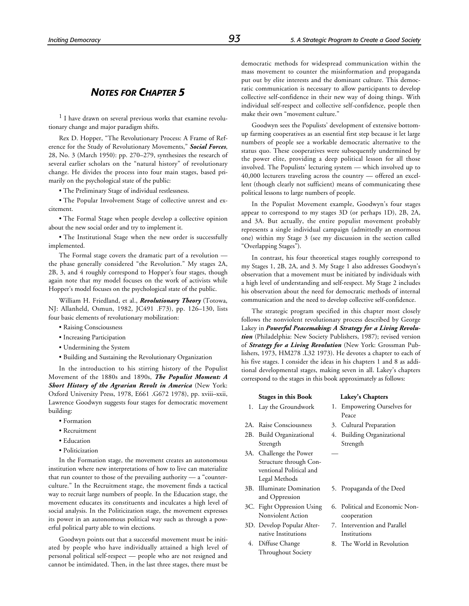### *NOTES FOR CHAPTER 5*

<sup>1</sup> I have drawn on several previous works that examine revolutionary change and major paradigm shifts.

Rex D. Hopper, "The Revolutionary Process: A Frame of Reference for the Study of Revolutionary Movements," *Social Forces*, 28, No. 3 (March 1950): pp. 270–279, synthesizes the research of several earlier scholars on the "natural history" of revolutionary change. He divides the process into four main stages, based primarily on the psychological state of the public:

• The Preliminary Stage of individual restlessness.

• The Popular Involvement Stage of collective unrest and excitement.

• The Formal Stage when people develop a collective opinion about the new social order and try to implement it.

• The Institutional Stage when the new order is successfully implemented.

The Formal stage covers the dramatic part of a revolution the phase generally considered "the Revolution." My stages 2A, 2B, 3, and 4 roughly correspond to Hopper's four stages, though again note that my model focuses on the work of activists while Hopper's model focuses on the psychological state of the public.

William H. Friedland, et al., *Revolutionary Theory* (Totowa, NJ: Allanheld, Osmun, 1982, JC491 .F73), pp. 126–130, lists four basic elements of revolutionary mobilization:

- Raising Consciousness
- Increasing Participation
- Undermining the System
- Building and Sustaining the Revolutionary Organization

In the introduction to his stirring history of the Populist Movement of the 1880s and 1890s, *The Populist Moment: A Short History of the Agrarian Revolt in America* (New York: Oxford University Press, 1978, E661 .G672 1978), pp. xviii–xxii, Lawrence Goodwyn suggests four stages for democratic movement building:

- Formation
- Recruitment
- Education
- Politicization

In the Formation stage, the movement creates an autonomous institution where new interpretations of how to live can materialize that run counter to those of the prevailing authority — a "counterculture." In the Recruitment stage, the movement finds a tactical way to recruit large numbers of people. In the Education stage, the movement educates its constituents and inculcates a high level of social analysis. In the Politicization stage, the movement expresses its power in an autonomous political way such as through a powerful political party able to win elections.

Goodwyn points out that a successful movement must be initiated by people who have individually attained a high level of personal political self-respect — people who are not resigned and cannot be intimidated. Then, in the last three stages, there must be

democratic methods for widespread communication within the mass movement to counter the misinformation and propaganda put out by elite interests and the dominant culture. This democratic communication is necessary to allow participants to develop collective self-confidence in their new way of doing things. With individual self-respect and collective self-confidence, people then make their own "movement culture."

Goodwyn sees the Populists' development of extensive bottomup farming cooperatives as an essential first step because it let large numbers of people see a workable democratic alternative to the status quo. These cooperatives were subsequently undermined by the power elite, providing a deep political lesson for all those involved. The Populists' lecturing system — which involved up to 40,000 lecturers traveling across the country — offered an excellent (though clearly not sufficient) means of communicating these political lessons to large numbers of people.

In the Populist Movement example, Goodwyn's four stages appear to correspond to my stages 3D (or perhaps 1D), 2B, 2A, and 3A. But actually, the entire populist movement probably represents a single individual campaign (admittedly an enormous one) within my Stage 3 (see my discussion in the section called "Overlapping Stages").

In contrast, his four theoretical stages roughly correspond to my Stages 1, 2B, 2A, and 3. My Stage 1 also addresses Goodwyn's observation that a movement must be initiated by individuals with a high level of understanding and self-respect. My Stage 2 includes his observation about the need for democratic methods of internal communication and the need to develop collective self-confidence.

The strategic program specified in this chapter most closely follows the nonviolent revolutionary process described by George Lakey in *Powerful Peacemaking: A Strategy for a Living Revolution* (Philadelphia: New Society Publishers, 1987); revised version of *Strategy for a Living Revolution* (New York: Grossman Publishers, 1973, HM278 .L32 1973). He devotes a chapter to each of his five stages. I consider the ideas in his chapters 1 and 8 as additional developmental stages, making seven in all. Lakey's chapters correspond to the stages in this book approximately as follows:

### **Stages in this Book Lakey's Chapters** 1. Lay the Groundwork 1. Empowering Ourselves for

—

- 
- 
- 2B. Build Organizational Strength
- 3A. Challenge the Power Structure through Conventional Political and Legal Methods
- 3B. Illuminate Domination and Oppression
- 3C. Fight Oppression Using Nonviolent Action
- 3D. Develop Popular Alternative Institutions
- 4. Diffuse Change Throughout Society
- Peace
- 2A. Raise Consciousness 3. Cultural Preparation
	- 4. Building Organizational Strength
	- 5. Propaganda of the Deed
	- 6. Political and Economic Noncooperation
	- 7. Intervention and Parallel Institutions
	- 8. The World in Revolution